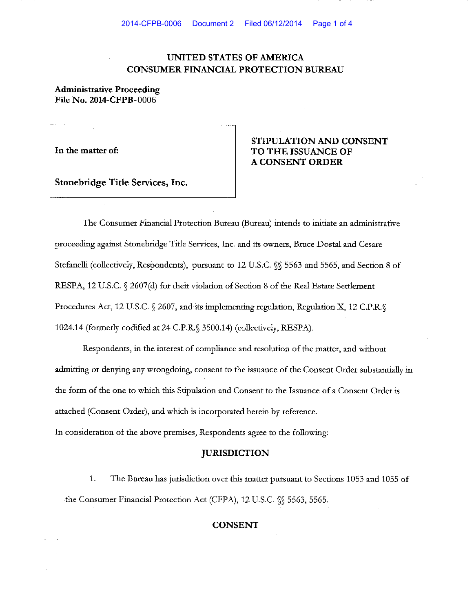## **UNITED STATES OF AMERICA CONSUMER FINANCIAL PROTECTION BUREAU**

## **Administrative Proceeding File No. 2014-CFPB** 0006

**In the matter of:** 

## **STIPULATION AND CONSENT TO THE ISSUANCE OF A CONSENT ORDER**

**Stonebridge Title Services, Inc.** 

The Consumer Financial Protection Bureau (Bureau) intends to initiate an administrative proceeding against Stonebridge Title Services, Inc. and its owners, Bruce Dostal and Cesare Stefanelli (collectively, Respondents), pursuant to 12 U.S.C. §§ 5563 and 5565, and Section 8 of RESPA, 12 U.S.C. § 2607(d) for their violation of Section 8 of the Real Estate Settlement Procedures Act, 12 U.S.C. § 2607, and its implementing regulation, Regulation X, 12 C.P.R.§ 1024.14 (formerly codified at 24 C.P.R.§ 3500.14) (collectively, RESPA).

Respondents, in the interest of compliance and resolution of the matter, and without admitting or denying any wrongdoing, consent to the issuance of the Consent Order substantially in the form of the one to which this Stipulation and Consent to the Issuance of a Consent Order is attached (Consent Order), and which is incorporated herein by reference.

In consideration of the above premises, Respondents agree to the following:

# **JURISDICTION**

1. The Bureau has jurisdiction over this matter pursuant to Sections 1053 and 1055 of the Consumer Financial Protection Act (CFPA), 12 U.S.C. §§ 5563, 5565.

### **CONSENT**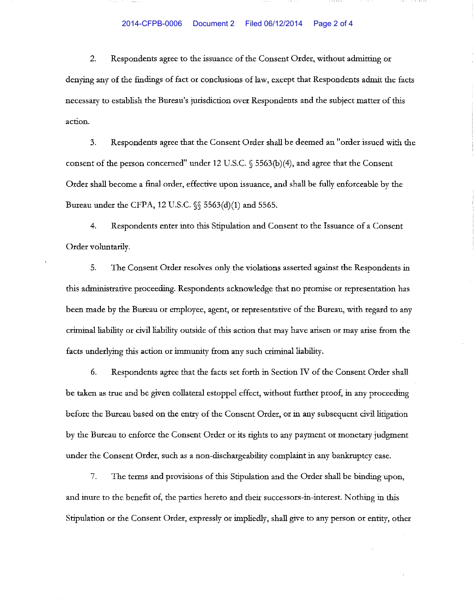### 2014-CFPB-0006 Document 2 Filed 06/12/2014 Page 2 of 4

2. Respondents agree to the issuance of the Consent Order, without admitting or denying any of the findings of fact or conclusions of law, except that Respondents admit the facts necessary to establish the Bureau's jurisdiction over Respondents and the subject matter of this **action.** 

3. Respondents agree that the Consent Order shall be deemed an "order issued with the consent of the person concerned" under 12 U.S.C. § 5563(b)(4), and agree that the Consent Order shall become a final order, effective upon issuance, and shall be fully enforceable by the Bureau under the CFPA, 12 U.S.C.  $\S$  5563(d)(1) and 5565.

4. Respondents enter into this Stipulation and Consent to the Issuance of a Consent Order voluntarily.

5. The Consent Order resolves only the violations asserted against the Respondents in this administrative proceeding. Respondents acknowledge that no promise or representation has been made by the Bureau or employee, agent, or representative of the Bureau, with regard to any criminal liability or civil liability outside of this action that may have arisen or may arise from the facts underlying this action or immunity from any such criminal liability.

6. Respondents agree that the facts set forth in Section IV of the Consent Order shall be taken as true and be given collateral estoppel effect, without further proof, in any proceeding before the Bureau based on the entry of the Consent Order, or in any subsequent civil litigation by the Bureau to enforce the Consent Order or its rights to any payment or monetary judgment under the Consent Order, such as a non-dischargeability complaint in any bankruptcy case.

7. The terms and provisions of this Stipulation and the Order shall be binding upon, and inure to the benefit of, the parties hereto and their successors-in-interest. Nothing in this Stipulation or the Consent Order, expressly or impliedly, shall give to any person or entity, other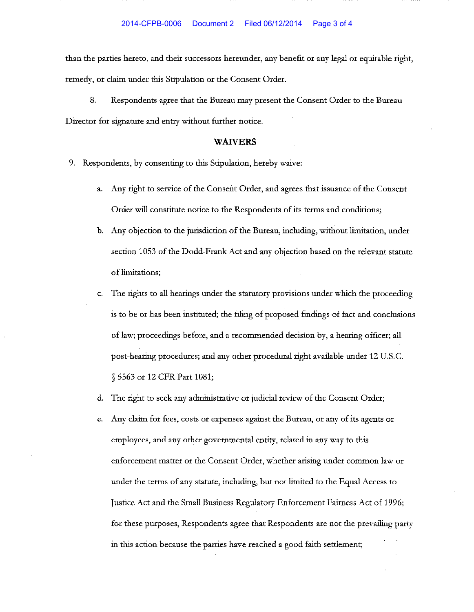than the parties hereto, and their successors hereunder, any benefit or any legal or equitable right, remedy, or claim under this Stipulation or the Consent Order.

8. Respondents agree that the Bureau may present the Consent Order to the Bureau Director for signature and entry without further notice.

### **WAIVERS**

- 9. Respondents, by consenting to this Stipulation, hereby waive:
	- a. Any right to service of the Consent Order, and agrees that issuance of the Consent Order will constitute notice to the Respondents of its terms and conditions;
	- b. Any objection to the jurisdiction of the Bureau, including, without liruitation, under section 1053 of the Dodd-Frank Act and any objection based on the relevant statute of liruitations;
	- The rights to all hearings under the statutory provisions under which the proceeding is to be or has been instituted; the filing of proposed findings of fact and conclusions of law; proceedings before, and a recommended decision by, a hearing officer; all post-hearing procedures; and any other procedural right available under 12 U.S.C. § 5563 or 12 CFR Part 1081;
	- d. The right to seek any administrative or judicial review of the Consent Order;
	- e. Any claim for fees, costs or expenses against the Bureau, or any of its agents or employees, and any other governmental entity, related in any way to this enforcement matter or the Consent Order, whether arising under common law or under the terms of any statute, including, but not limited to the Equal Access to Justice Act and the Small Business Regulatory Enforcement Fairness Act of 1996; for these purposes, Respondents agree that Respondents are not the prevailing party in this action because the parties have reached a good faith settlement;